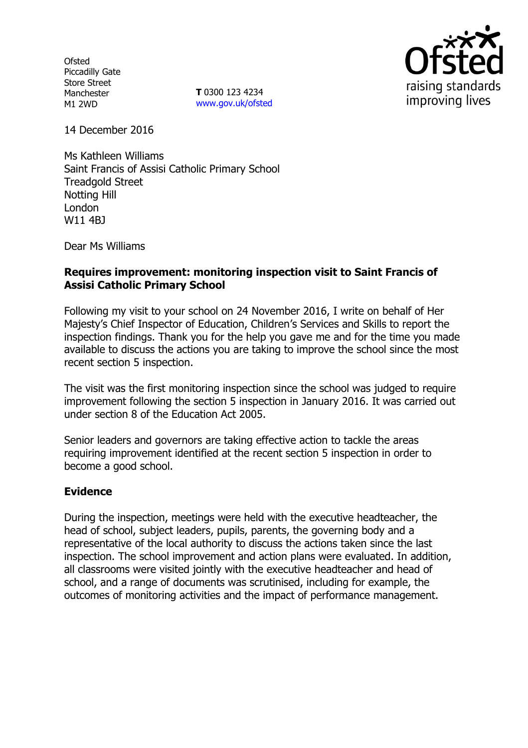**Ofsted** Piccadilly Gate Store Street Manchester M1 2WD

**T** 0300 123 4234 www.gov.uk/ofsted



14 December 2016

Ms Kathleen Williams Saint Francis of Assisi Catholic Primary School Treadgold Street Notting Hill London W11 4BJ

Dear Ms Williams

## **Requires improvement: monitoring inspection visit to Saint Francis of Assisi Catholic Primary School**

Following my visit to your school on 24 November 2016, I write on behalf of Her Majesty's Chief Inspector of Education, Children's Services and Skills to report the inspection findings. Thank you for the help you gave me and for the time you made available to discuss the actions you are taking to improve the school since the most recent section 5 inspection.

The visit was the first monitoring inspection since the school was judged to require improvement following the section 5 inspection in January 2016. It was carried out under section 8 of the Education Act 2005.

Senior leaders and governors are taking effective action to tackle the areas requiring improvement identified at the recent section 5 inspection in order to become a good school.

## **Evidence**

During the inspection, meetings were held with the executive headteacher, the head of school, subject leaders, pupils, parents, the governing body and a representative of the local authority to discuss the actions taken since the last inspection. The school improvement and action plans were evaluated. In addition, all classrooms were visited jointly with the executive headteacher and head of school, and a range of documents was scrutinised, including for example, the outcomes of monitoring activities and the impact of performance management.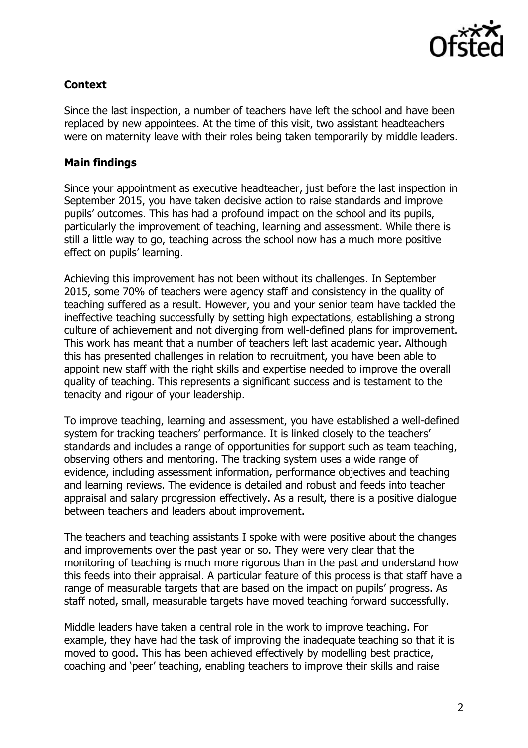

# **Context**

Since the last inspection, a number of teachers have left the school and have been replaced by new appointees. At the time of this visit, two assistant headteachers were on maternity leave with their roles being taken temporarily by middle leaders.

## **Main findings**

Since your appointment as executive headteacher, just before the last inspection in September 2015, you have taken decisive action to raise standards and improve pupils' outcomes. This has had a profound impact on the school and its pupils, particularly the improvement of teaching, learning and assessment. While there is still a little way to go, teaching across the school now has a much more positive effect on pupils' learning.

Achieving this improvement has not been without its challenges. In September 2015, some 70% of teachers were agency staff and consistency in the quality of teaching suffered as a result. However, you and your senior team have tackled the ineffective teaching successfully by setting high expectations, establishing a strong culture of achievement and not diverging from well-defined plans for improvement. This work has meant that a number of teachers left last academic year. Although this has presented challenges in relation to recruitment, you have been able to appoint new staff with the right skills and expertise needed to improve the overall quality of teaching. This represents a significant success and is testament to the tenacity and rigour of your leadership.

To improve teaching, learning and assessment, you have established a well-defined system for tracking teachers' performance. It is linked closely to the teachers' standards and includes a range of opportunities for support such as team teaching, observing others and mentoring. The tracking system uses a wide range of evidence, including assessment information, performance objectives and teaching and learning reviews. The evidence is detailed and robust and feeds into teacher appraisal and salary progression effectively. As a result, there is a positive dialogue between teachers and leaders about improvement.

The teachers and teaching assistants I spoke with were positive about the changes and improvements over the past year or so. They were very clear that the monitoring of teaching is much more rigorous than in the past and understand how this feeds into their appraisal. A particular feature of this process is that staff have a range of measurable targets that are based on the impact on pupils' progress. As staff noted, small, measurable targets have moved teaching forward successfully.

Middle leaders have taken a central role in the work to improve teaching. For example, they have had the task of improving the inadequate teaching so that it is moved to good. This has been achieved effectively by modelling best practice, coaching and 'peer' teaching, enabling teachers to improve their skills and raise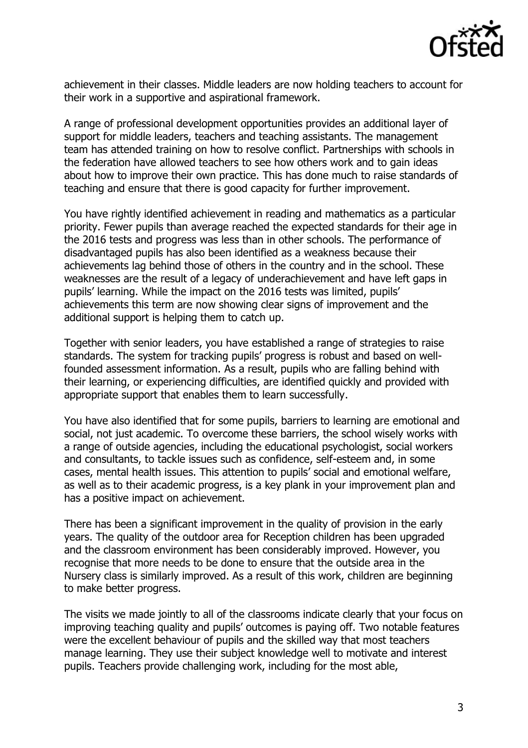

achievement in their classes. Middle leaders are now holding teachers to account for their work in a supportive and aspirational framework.

A range of professional development opportunities provides an additional layer of support for middle leaders, teachers and teaching assistants. The management team has attended training on how to resolve conflict. Partnerships with schools in the federation have allowed teachers to see how others work and to gain ideas about how to improve their own practice. This has done much to raise standards of teaching and ensure that there is good capacity for further improvement.

You have rightly identified achievement in reading and mathematics as a particular priority. Fewer pupils than average reached the expected standards for their age in the 2016 tests and progress was less than in other schools. The performance of disadvantaged pupils has also been identified as a weakness because their achievements lag behind those of others in the country and in the school. These weaknesses are the result of a legacy of underachievement and have left gaps in pupils' learning. While the impact on the 2016 tests was limited, pupils' achievements this term are now showing clear signs of improvement and the additional support is helping them to catch up.

Together with senior leaders, you have established a range of strategies to raise standards. The system for tracking pupils' progress is robust and based on wellfounded assessment information. As a result, pupils who are falling behind with their learning, or experiencing difficulties, are identified quickly and provided with appropriate support that enables them to learn successfully.

You have also identified that for some pupils, barriers to learning are emotional and social, not just academic. To overcome these barriers, the school wisely works with a range of outside agencies, including the educational psychologist, social workers and consultants, to tackle issues such as confidence, self-esteem and, in some cases, mental health issues. This attention to pupils' social and emotional welfare, as well as to their academic progress, is a key plank in your improvement plan and has a positive impact on achievement.

There has been a significant improvement in the quality of provision in the early years. The quality of the outdoor area for Reception children has been upgraded and the classroom environment has been considerably improved. However, you recognise that more needs to be done to ensure that the outside area in the Nursery class is similarly improved. As a result of this work, children are beginning to make better progress.

The visits we made jointly to all of the classrooms indicate clearly that your focus on improving teaching quality and pupils' outcomes is paying off. Two notable features were the excellent behaviour of pupils and the skilled way that most teachers manage learning. They use their subject knowledge well to motivate and interest pupils. Teachers provide challenging work, including for the most able,